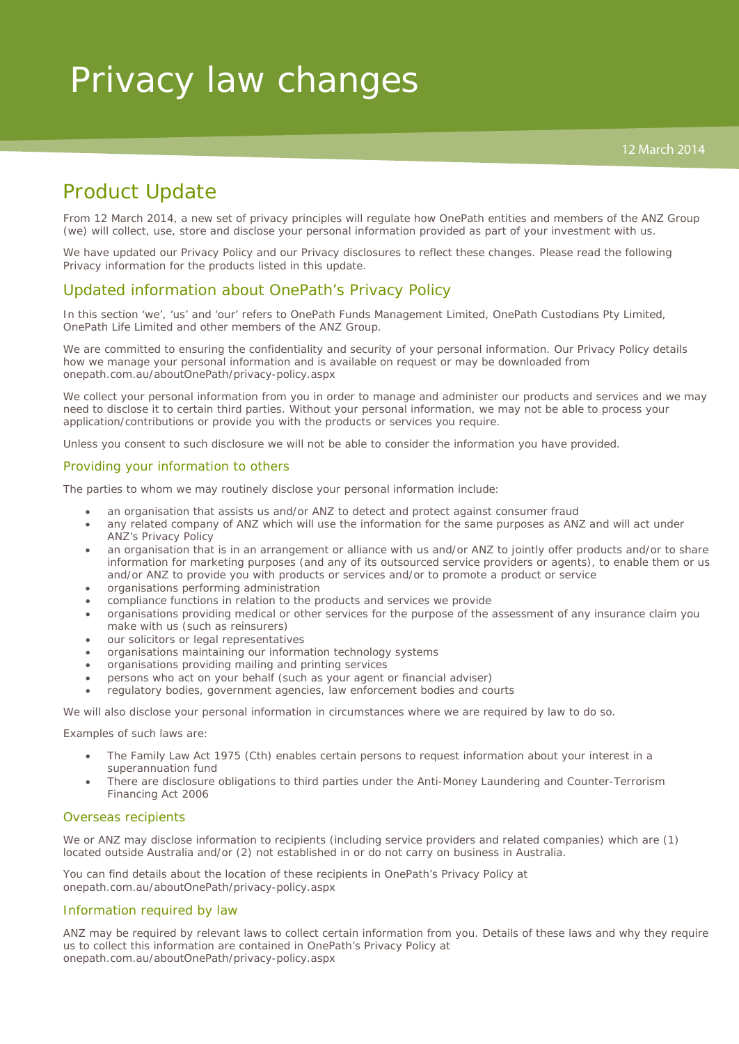# Product Update

From 12 March 2014, a new set of privacy principles will regulate how OnePath entities and members of the ANZ Group (we) will collect, use, store and disclose your personal information provided as part of your investment with us.

We have updated our Privacy Policy and our Privacy disclosures to reflect these changes. Please read the following Privacy information for the products listed in this update.

## Updated information about OnePath's Privacy Policy

In this section 'we', 'us' and 'our' refers to OnePath Funds Management Limited, OnePath Custodians Pty Limited, OnePath Life Limited and other members of the ANZ Group.

We are committed to ensuring the confidentiality and security of your personal information. Our Privacy Policy details how we manage your personal information and is available on request or may be downloaded from onepath.com.au/aboutOnePath/privacy-policy.aspx

We collect your personal information from you in order to manage and administer our products and services and we may need to disclose it to certain third parties. Without your personal information, we may not be able to process your application/contributions or provide you with the products or services you require.

Unless you consent to such disclosure we will not be able to consider the information you have provided.

#### Providing your information to others

The parties to whom we may routinely disclose your personal information include:

- an organisation that assists us and/or ANZ to detect and protect against consumer fraud
- any related company of ANZ which will use the information for the same purposes as ANZ and will act under ANZ's Privacy Policy
- an organisation that is in an arrangement or alliance with us and/or ANZ to jointly offer products and/or to share information for marketing purposes (and any of its outsourced service providers or agents), to enable them or us and/or ANZ to provide you with products or services and/or to promote a product or service
- organisations performing administration
- compliance functions in relation to the products and services we provide
- organisations providing medical or other services for the purpose of the assessment of any insurance claim you make with us (such as reinsurers)
- our solicitors or legal representatives
- organisations maintaining our information technology systems
- organisations providing mailing and printing services
- persons who act on your behalf (such as your agent or financial adviser)
- regulatory bodies, government agencies, law enforcement bodies and courts

We will also disclose your personal information in circumstances where we are required by law to do so.

Examples of such laws are:

- The *Family Law Act 1975* (Cth) enables certain persons to request information about your interest in a superannuation fund
- There are disclosure obligations to third parties under the *Anti-Money Laundering and Counter-Terrorism Financing Act 2006*

#### Overseas recipients

We or ANZ may disclose information to recipients (including service providers and related companies) which are (1) located outside Australia and/or (2) not established in or do not carry on business in Australia.

You can find details about the location of these recipients in OnePath's Privacy Policy at onepath.com.au/aboutOnePath/privacy-policy.aspx

#### Information required by law

ANZ may be required by relevant laws to collect certain information from you. Details of these laws and why they require us to collect this information are contained in OnePath's Privacy Policy at onepath.com.au/aboutOnePath/privacy-policy.aspx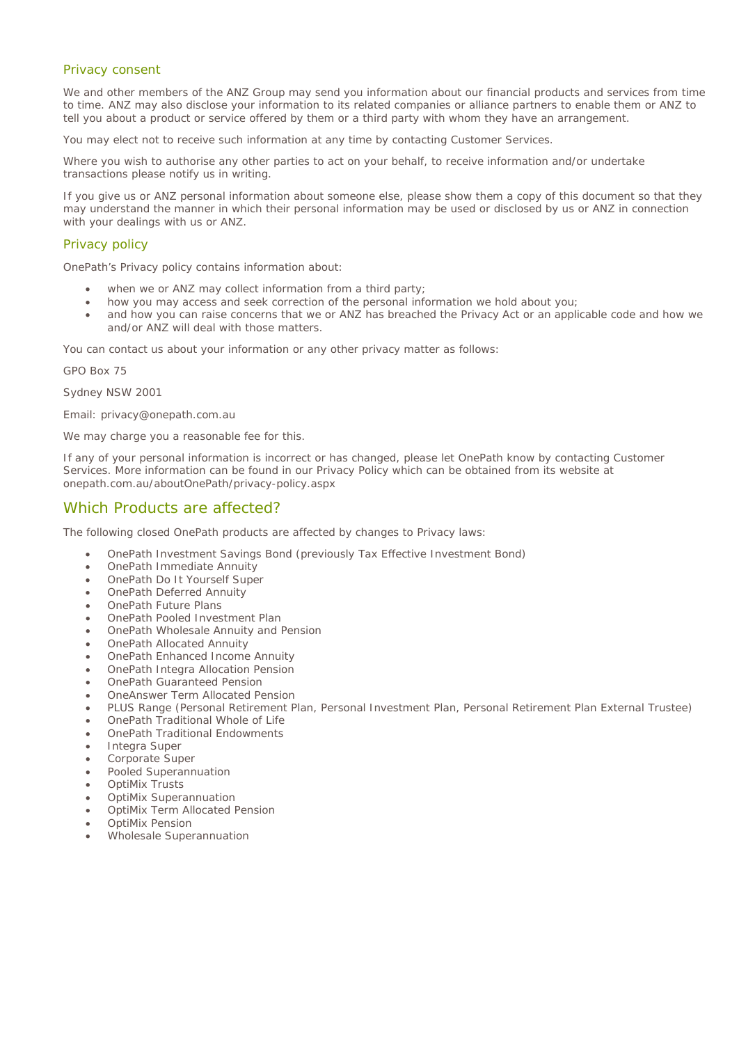#### Privacy consent

We and other members of the ANZ Group may send you information about our financial products and services from time to time. ANZ may also disclose your information to its related companies or alliance partners to enable them or ANZ to tell you about a product or service offered by them or a third party with whom they have an arrangement.

You may elect not to receive such information at any time by contacting Customer Services.

Where you wish to authorise any other parties to act on your behalf, to receive information and/or undertake transactions please notify us in writing.

If you give us or ANZ personal information about someone else, please show them a copy of this document so that they may understand the manner in which their personal information may be used or disclosed by us or ANZ in connection with your dealings with us or ANZ.

#### Privacy policy

OnePath's Privacy policy contains information about:

- when we or ANZ may collect information from a third party;
- how you may access and seek correction of the personal information we hold about you;
- and how you can raise concerns that we or ANZ has breached the Privacy Act or an applicable code and how we and/or ANZ will deal with those matters.

You can contact us about your information or any other privacy matter as follows:

GPO Box 75

Sydney NSW 2001

Email: privacy@onepath.com.au

We may charge you a reasonable fee for this.

If any of your personal information is incorrect or has changed, please let OnePath know by contacting Customer Services. More information can be found in our Privacy Policy which can be obtained from its website at onepath.com.au/aboutOnePath/privacy-policy.aspx

### Which Products are affected?

The following closed OnePath products are affected by changes to Privacy laws:

- OnePath Investment Savings Bond (previously Tax Effective Investment Bond)
- OnePath Immediate Annuity
- OnePath Do It Yourself Super
- OnePath Deferred Annuity
- OnePath Future Plans
- OnePath Pooled Investment Plan
- OnePath Wholesale Annuity and Pension
- OnePath Allocated Annuity
- OnePath Enhanced Income Annuity
- OnePath Integra Allocation Pension
- OnePath Guaranteed Pension
- OneAnswer Term Allocated Pension
- PLUS Range (Personal Retirement Plan, Personal Investment Plan, Personal Retirement Plan External Trustee)
- OnePath Traditional Whole of Life
- OnePath Traditional Endowments
- Integra Super
- Corporate Super
- Pooled Superannuation
- OptiMix Trusts
- OptiMix Superannuation
- OptiMix Term Allocated Pension
- OptiMix Pension
- Wholesale Superannuation